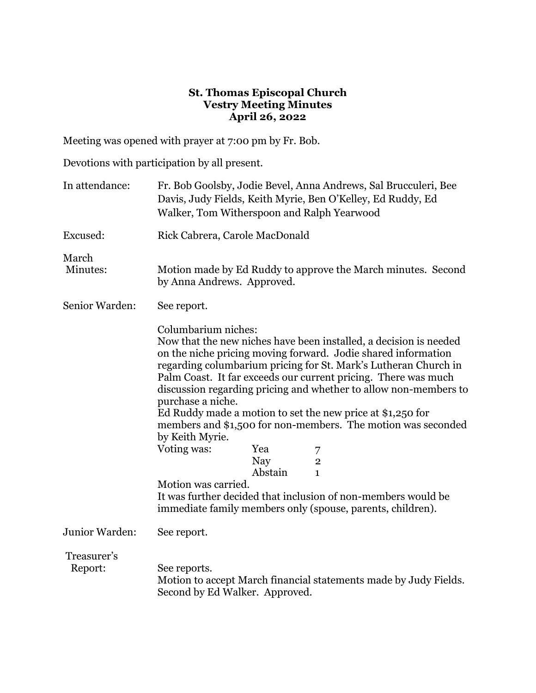## **St. Thomas Episcopal Church Vestry Meeting Minutes April 26, 2022**

Meeting was opened with prayer at 7:00 pm by Fr. Bob.

Devotions with participation by all present.

| In attendance:         | Fr. Bob Goolsby, Jodie Bevel, Anna Andrews, Sal Brucculeri, Bee<br>Davis, Judy Fields, Keith Myrie, Ben O'Kelley, Ed Ruddy, Ed<br>Walker, Tom Witherspoon and Ralph Yearwood                                                                                                                                                                                                                                                                                                                                                                                                                                                                                                                                                                                                         |
|------------------------|--------------------------------------------------------------------------------------------------------------------------------------------------------------------------------------------------------------------------------------------------------------------------------------------------------------------------------------------------------------------------------------------------------------------------------------------------------------------------------------------------------------------------------------------------------------------------------------------------------------------------------------------------------------------------------------------------------------------------------------------------------------------------------------|
| Excused:               | Rick Cabrera, Carole MacDonald                                                                                                                                                                                                                                                                                                                                                                                                                                                                                                                                                                                                                                                                                                                                                       |
| March<br>Minutes:      | Motion made by Ed Ruddy to approve the March minutes. Second<br>by Anna Andrews. Approved.                                                                                                                                                                                                                                                                                                                                                                                                                                                                                                                                                                                                                                                                                           |
| Senior Warden:         | See report.                                                                                                                                                                                                                                                                                                                                                                                                                                                                                                                                                                                                                                                                                                                                                                          |
|                        | Columbarium niches:<br>Now that the new niches have been installed, a decision is needed<br>on the niche pricing moving forward. Jodie shared information<br>regarding columbarium pricing for St. Mark's Lutheran Church in<br>Palm Coast. It far exceeds our current pricing. There was much<br>discussion regarding pricing and whether to allow non-members to<br>purchase a niche.<br>Ed Ruddy made a motion to set the new price at \$1,250 for<br>members and \$1,500 for non-members. The motion was seconded<br>by Keith Myrie.<br>Voting was:<br>Yea<br>7<br><b>Nay</b><br>$\overline{2}$<br>Abstain<br>$\mathbf{1}$<br>Motion was carried.<br>It was further decided that inclusion of non-members would be<br>immediate family members only (spouse, parents, children). |
| Junior Warden:         | See report.                                                                                                                                                                                                                                                                                                                                                                                                                                                                                                                                                                                                                                                                                                                                                                          |
| Treasurer's<br>Report: | See reports.<br>Motion to accept March financial statements made by Judy Fields.<br>Second by Ed Walker. Approved.                                                                                                                                                                                                                                                                                                                                                                                                                                                                                                                                                                                                                                                                   |